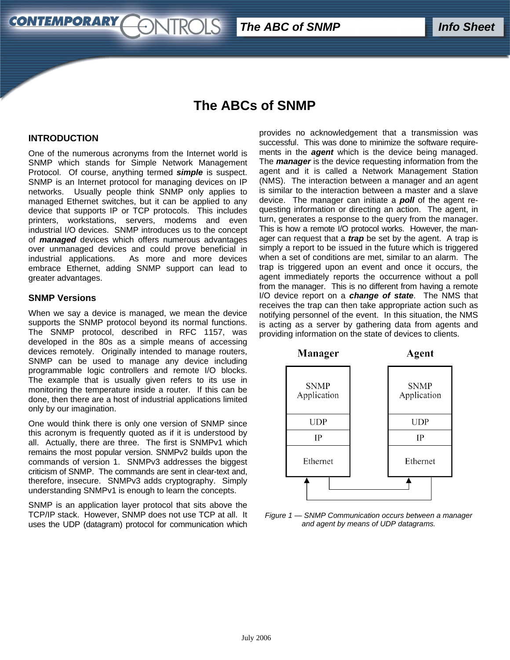*Info Sheet The ABC of SNMP*

# **The ABCs of SNMP**

#### **INTRODUCTION**

**CONTEMPORARY** 

One of the numerous acronyms from the Internet world is SNMP which stands for Simple Network Management Protocol. Of course, anything termed *simple* is suspect. SNMP is an Internet protocol for managing devices on IP networks. Usually people think SNMP only applies to managed Ethernet switches, but it can be applied to any device that supports IP or TCP protocols. This includes printers, workstations, servers, modems and even industrial I/O devices. SNMP introduces us to the concept of *managed* devices which offers numerous advantages over unmanaged devices and could prove beneficial in industrial applications. As more and more devices embrace Ethernet, adding SNMP support can lead to greater advantages.

ONTROLS

#### **SNMP Versions**

When we say a device is managed, we mean the device supports the SNMP protocol beyond its normal functions. The SNMP protocol, described in RFC 1157, was developed in the 80s as a simple means of accessing devices remotely. Originally intended to manage routers, SNMP can be used to manage any device including programmable logic controllers and remote I/O blocks. The example that is usually given refers to its use in monitoring the temperature inside a router. If this can be done, then there are a host of industrial applications limited only by our imagination.

One would think there is only one version of SNMP since this acronym is frequently quoted as if it is understood by all. Actually, there are three. The first is SNMPv1 which remains the most popular version. SNMPv2 builds upon the commands of version 1. SNMPv3 addresses the biggest criticism of SNMP. The commands are sent in clear-text and, therefore, insecure. SNMPv3 adds cryptography. Simply understanding SNMPv1 is enough to learn the concepts.

SNMP is an application layer protocol that sits above the TCP/IP stack. However, SNMP does not use TCP at all. It uses the UDP (datagram) protocol for communication which

provides no acknowledgement that a transmission was successful. This was done to minimize the software requirements in the *agent* which is the device being managed. The *manager* is the device requesting information from the agent and it is called a Network Management Station (NMS). The interaction between a manager and an agent is similar to the interaction between a master and a slave device. The manager can initiate a *poll* of the agent requesting information or directing an action. The agent, in turn, generates a response to the query from the manager. This is how a remote I/O protocol works. However, the manager can request that a *trap* be set by the agent. A trap is simply a report to be issued in the future which is triggered when a set of conditions are met, similar to an alarm. The trap is triggered upon an event and once it occurs, the agent immediately reports the occurrence without a poll from the manager. This is no different from having a remote I/O device report on a *change of state*. The NMS that receives the trap can then take appropriate action such as notifying personnel of the event. In this situation, the NMS is acting as a server by gathering data from agents and providing information on the state of devices to clients.



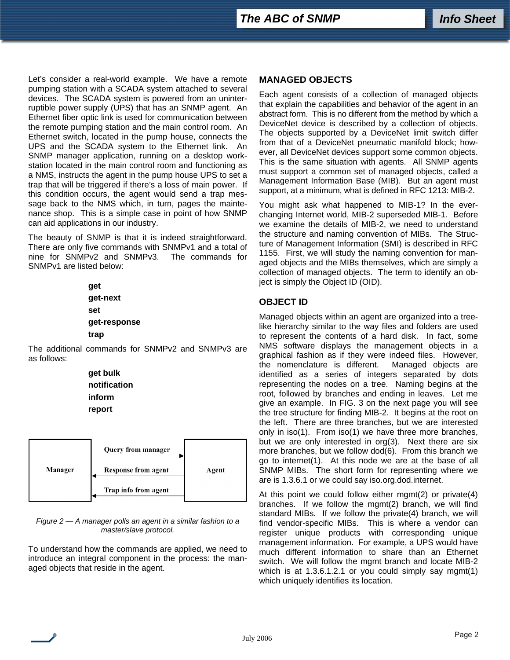Let's consider a real-world example. We have a remote pumping station with a SCADA system attached to several devices. The SCADA system is powered from an uninterruptible power supply (UPS) that has an SNMP agent. An Ethernet fiber optic link is used for communication between the remote pumping station and the main control room. An Ethernet switch, located in the pump house, connects the UPS and the SCADA system to the Ethernet link. An SNMP manager application, running on a desktop workstation located in the main control room and functioning as a NMS, instructs the agent in the pump house UPS to set a trap that will be triggered if there's a loss of main power. If this condition occurs, the agent would send a trap message back to the NMS which, in turn, pages the maintenance shop. This is a simple case in point of how SNMP can aid applications in our industry.

The beauty of SNMP is that it is indeed straightforward. There are only five commands with SNMPv1 and a total of nine for SNMPv2 and SNMPv3. The commands for SNMPv1 are listed below:

> **get get-next set get-response trap**

The additional commands for SNMPv2 and SNMPv3 are as follows:

> **get bulk notification inform report**



*Figure 2 — A manager polls an agent in a similar fashion to a master/slave protocol.* 

To understand how the commands are applied, we need to introduce an integral component in the process: the managed objects that reside in the agent.

## **MANAGED OBJECTS**

Each agent consists of a collection of managed objects that explain the capabilities and behavior of the agent in an abstract form. This is no different from the method by which a DeviceNet device is described by a collection of objects. The objects supported by a DeviceNet limit switch differ from that of a DeviceNet pneumatic manifold block; however, all DeviceNet devices support some common objects. This is the same situation with agents. All SNMP agents must support a common set of managed objects, called a Management Information Base (MIB). But an agent must support, at a minimum, what is defined in RFC 1213: MIB-2.

You might ask what happened to MIB-1? In the everchanging Internet world, MIB-2 superseded MIB-1. Before we examine the details of MIB-2, we need to understand the structure and naming convention of MIBs. The Structure of Management Information (SMI) is described in RFC 1155. First, we will study the naming convention for managed objects and the MIBs themselves, which are simply a collection of managed objects. The term to identify an object is simply the Object ID (OID).

## **OBJECT ID**

Managed objects within an agent are organized into a treelike hierarchy similar to the way files and folders are used to represent the contents of a hard disk. In fact, some NMS software displays the management objects in a graphical fashion as if they were indeed files. However, the nomenclature is different. Managed objects are identified as a series of integers separated by dots representing the nodes on a tree. Naming begins at the root, followed by branches and ending in leaves. Let me give an example. In FIG. 3 on the next page you will see the tree structure for finding MIB-2. It begins at the root on the left. There are three branches, but we are interested only in iso(1). From iso(1) we have three more branches, but we are only interested in org(3). Next there are six more branches, but we follow dod(6). From this branch we go to internet(1). At this node we are at the base of all SNMP MIBs. The short form for representing where we are is 1.3.6.1 or we could say iso.org.dod.internet.

At this point we could follow either mgmt(2) or private(4) branches. If we follow the mgmt(2) branch, we will find standard MIBs. If we follow the private(4) branch, we will find vendor-specific MIBs. This is where a vendor can register unique products with corresponding unique management information. For example, a UPS would have much different information to share than an Ethernet switch. We will follow the mgmt branch and locate MIB-2 which is at 1.3.6.1.2.1 or you could simply say mgmt(1) which uniquely identifies its location.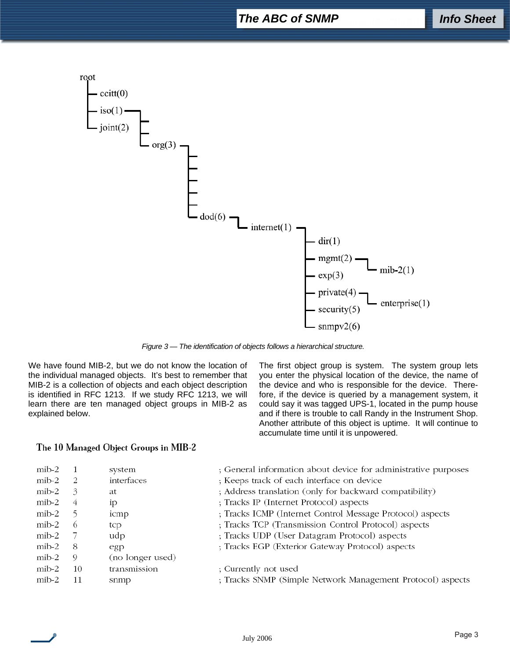## *The ABC of SNMP*



*Figure 3 — The identification of objects follows a hierarchical structure.* 

We have found MIB-2, but we do not know the location of the individual managed objects. It's best to remember that MIB-2 is a collection of objects and each object description is identified in RFC 1213. If we study RFC 1213, we will learn there are ten managed object groups in MIB-2 as explained below.

The first object group is system. The system group lets you enter the physical location of the device, the name of the device and who is responsible for the device. Therefore, if the device is queried by a management system, it could say it was tagged UPS-1, located in the pump house and if there is trouble to call Randy in the Instrument Shop. Another attribute of this object is uptime. It will continue to accumulate time until it is unpowered.

#### The 10 Managed Object Groups in MIB-2

| $\text{mib-2}$ |          | system           | ; General information about device for administrative purposes |
|----------------|----------|------------------|----------------------------------------------------------------|
| mib-2          |          | interfaces       | ; Keeps track of each interface on device                      |
| $\text{mib-2}$ | 3        | at               | ; Address translation (only for backward compatibility)        |
| $\text{mib-2}$ | 4        | 1P               | ; Tracks IP (Internet Protocol) aspects                        |
| mib-2          |          | icmp             | ; Tracks ICMP (Internet Control Message Protocol) aspects      |
| $\mu$ ib-2     | $^{(2)}$ | tcp              | ; Tracks TCP (Transmission Control Protocol) aspects           |
| $\text{mib-2}$ |          | udp              | ; Tracks UDP (User Datagram Protocol) aspects                  |
| mib-2          | -8       | egp              | ; Tracks EGP (Exterior Gateway Protocol) aspects               |
| $\mu$ ib-2     | 9        | (no longer used) |                                                                |
| $\text{mib-2}$ | 10       | transmission     | ; Currently not used                                           |
| $\text{mib-2}$ | 11       | snmp             | ; Tracks SNMP (Simple Network Management Protocol) aspects     |
|                |          |                  |                                                                |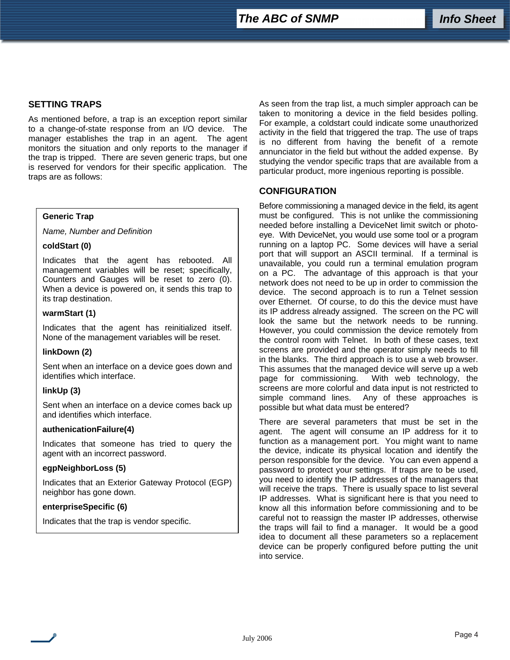### **SETTING TRAPS**

As mentioned before, a trap is an exception report similar to a change-of-state response from an I/O device. The manager establishes the trap in an agent. The agent monitors the situation and only reports to the manager if the trap is tripped. There are seven generic traps, but one is reserved for vendors for their specific application. The traps are as follows:

#### **Generic Trap**

*Name, Number and Definition* 

#### **coldStart (0)**

Indicates that the agent has rebooted. All management variables will be reset; specifically, Counters and Gauges will be reset to zero (0). When a device is powered on, it sends this trap to its trap destination.

#### **warmStart (1)**

Indicates that the agent has reinitialized itself. None of the management variables will be reset.

#### **linkDown (2)**

Sent when an interface on a device goes down and identifies which interface.

#### **linkUp (3)**

Sent when an interface on a device comes back up and identifies which interface.

#### **authenicationFailure(4)**

Indicates that someone has tried to query the agent with an incorrect password.

#### **egpNeighborLoss (5)**

Indicates that an Exterior Gateway Protocol (EGP) neighbor has gone down.

#### **enterpriseSpecific (6)**

Indicates that the trap is vendor specific.

As seen from the trap list, a much simpler approach can be taken to monitoring a device in the field besides polling. For example, a coldstart could indicate some unauthorized activity in the field that triggered the trap. The use of traps is no different from having the benefit of a remote annunciator in the field but without the added expense. By studying the vendor specific traps that are available from a particular product, more ingenious reporting is possible.

#### **CONFIGURATION**

Before commissioning a managed device in the field, its agent must be configured. This is not unlike the commissioning needed before installing a DeviceNet limit switch or photoeye. With DeviceNet, you would use some tool or a program running on a laptop PC. Some devices will have a serial port that will support an ASCII terminal. If a terminal is unavailable, you could run a terminal emulation program on a PC. The advantage of this approach is that your network does not need to be up in order to commission the device. The second approach is to run a Telnet session over Ethernet. Of course, to do this the device must have its IP address already assigned. The screen on the PC will look the same but the network needs to be running. However, you could commission the device remotely from the control room with Telnet. In both of these cases, text screens are provided and the operator simply needs to fill in the blanks. The third approach is to use a web browser. This assumes that the managed device will serve up a web page for commissioning. With web technology, the screens are more colorful and data input is not restricted to simple command lines. Any of these approaches is possible but what data must be entered?

There are several parameters that must be set in the agent. The agent will consume an IP address for it to function as a management port. You might want to name the device, indicate its physical location and identify the person responsible for the device. You can even append a password to protect your settings. If traps are to be used, you need to identify the IP addresses of the managers that will receive the traps. There is usually space to list several IP addresses. What is significant here is that you need to know all this information before commissioning and to be careful not to reassign the master IP addresses, otherwise the traps will fail to find a manager. It would be a good idea to document all these parameters so a replacement device can be properly configured before putting the unit into service.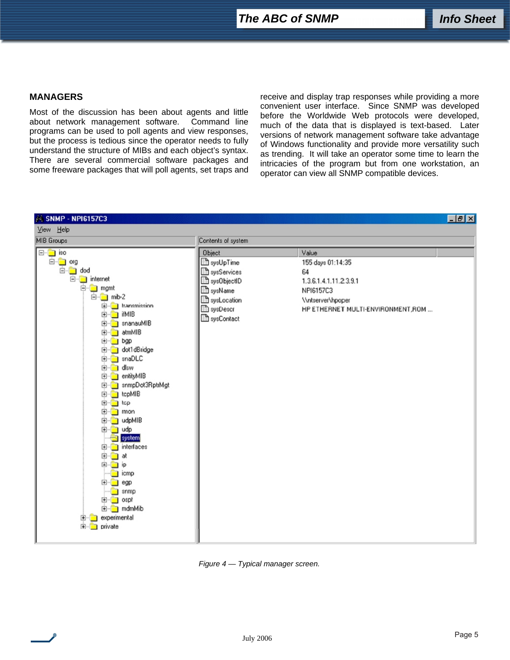#### **MANAGERS**

Most of the discussion has been about agents and little about network management software. Command line programs can be used to poll agents and view responses, but the process is tedious since the operator needs to fully understand the structure of MIBs and each object's syntax. There are several commercial software packages and some freeware packages that will poll agents, set traps and receive and display trap responses while providing a more convenient user interface. Since SNMP was developed before the Worldwide Web protocols were developed, much of the data that is displayed is text-based. Later versions of network management software take advantage of Windows functionality and provide more versatility such as trending. It will take an operator some time to learn the intricacies of the program but from one workstation, an operator can view all SNMP compatible devices.



#### *Figure 4 — Typical manager screen.*